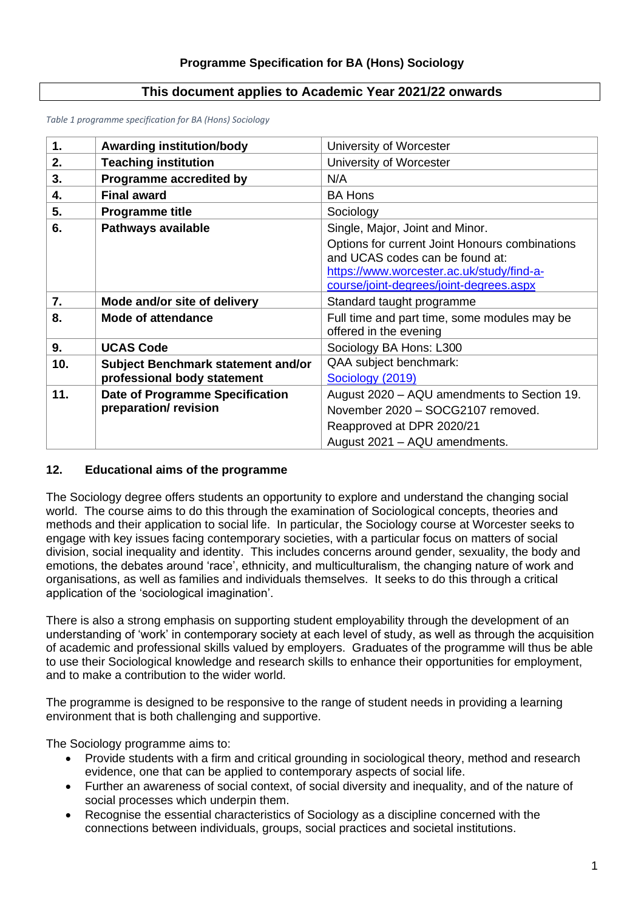# **This document applies to Academic Year 2021/22 onwards**

*Table 1 programme specification for BA (Hons) Sociology*

| 1.  | <b>Awarding institution/body</b>       | University of Worcester                                                                                                                                                   |  |  |  |
|-----|----------------------------------------|---------------------------------------------------------------------------------------------------------------------------------------------------------------------------|--|--|--|
| 2.  | <b>Teaching institution</b>            | University of Worcester                                                                                                                                                   |  |  |  |
| 3.  | Programme accredited by                | N/A                                                                                                                                                                       |  |  |  |
| 4.  | <b>Final award</b>                     | <b>BA Hons</b>                                                                                                                                                            |  |  |  |
| 5.  | <b>Programme title</b>                 | Sociology                                                                                                                                                                 |  |  |  |
| 6.  | <b>Pathways available</b>              | Single, Major, Joint and Minor.                                                                                                                                           |  |  |  |
|     |                                        | Options for current Joint Honours combinations<br>and UCAS codes can be found at:<br>https://www.worcester.ac.uk/study/find-a-<br>course/joint-degrees/joint-degrees.aspx |  |  |  |
| 7.  | Mode and/or site of delivery           | Standard taught programme                                                                                                                                                 |  |  |  |
|     | <b>Mode of attendance</b>              | Full time and part time, some modules may be                                                                                                                              |  |  |  |
| 8.  |                                        | offered in the evening                                                                                                                                                    |  |  |  |
| 9.  | <b>UCAS Code</b>                       | Sociology BA Hons: L300                                                                                                                                                   |  |  |  |
| 10. | Subject Benchmark statement and/or     | QAA subject benchmark:                                                                                                                                                    |  |  |  |
|     | professional body statement            | Sociology (2019)                                                                                                                                                          |  |  |  |
| 11. | <b>Date of Programme Specification</b> | August 2020 - AQU amendments to Section 19.                                                                                                                               |  |  |  |
|     | preparation/revision                   | November 2020 - SOCG2107 removed.                                                                                                                                         |  |  |  |
|     |                                        | Reapproved at DPR 2020/21                                                                                                                                                 |  |  |  |

# **12. Educational aims of the programme**

The Sociology degree offers students an opportunity to explore and understand the changing social world. The course aims to do this through the examination of Sociological concepts, theories and methods and their application to social life. In particular, the Sociology course at Worcester seeks to engage with key issues facing contemporary societies, with a particular focus on matters of social division, social inequality and identity. This includes concerns around gender, sexuality, the body and emotions, the debates around 'race', ethnicity, and multiculturalism, the changing nature of work and organisations, as well as families and individuals themselves. It seeks to do this through a critical application of the 'sociological imagination'.

There is also a strong emphasis on supporting student employability through the development of an understanding of 'work' in contemporary society at each level of study, as well as through the acquisition of academic and professional skills valued by employers. Graduates of the programme will thus be able to use their Sociological knowledge and research skills to enhance their opportunities for employment, and to make a contribution to the wider world.

The programme is designed to be responsive to the range of student needs in providing a learning environment that is both challenging and supportive.

The Sociology programme aims to:

- Provide students with a firm and critical grounding in sociological theory, method and research evidence, one that can be applied to contemporary aspects of social life.
- Further an awareness of social context, of social diversity and inequality, and of the nature of social processes which underpin them.
- Recognise the essential characteristics of Sociology as a discipline concerned with the connections between individuals, groups, social practices and societal institutions.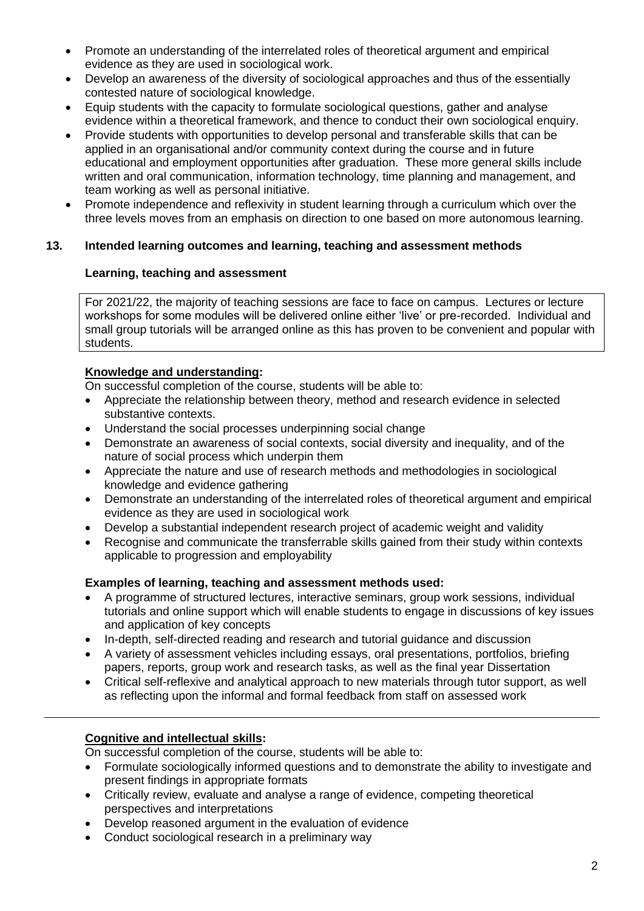- Promote an understanding of the interrelated roles of theoretical argument and empirical evidence as they are used in sociological work.
- Develop an awareness of the diversity of sociological approaches and thus of the essentially contested nature of sociological knowledge.
- Equip students with the capacity to formulate sociological questions, gather and analyse evidence within a theoretical framework, and thence to conduct their own sociological enquiry.
- Provide students with opportunities to develop personal and transferable skills that can be applied in an organisational and/or community context during the course and in future educational and employment opportunities after graduation. These more general skills include written and oral communication, information technology, time planning and management, and team working as well as personal initiative.
- Promote independence and reflexivity in student learning through a curriculum which over the three levels moves from an emphasis on direction to one based on more autonomous learning.

# **13. Intended learning outcomes and learning, teaching and assessment methods**

# **Learning, teaching and assessment**

For 2021/22, the majority of teaching sessions are face to face on campus. Lectures or lecture workshops for some modules will be delivered online either 'live' or pre-recorded. Individual and small group tutorials will be arranged online as this has proven to be convenient and popular with students.

# **Knowledge and understanding:**

On successful completion of the course, students will be able to:

- Appreciate the relationship between theory, method and research evidence in selected substantive contexts.
- Understand the social processes underpinning social change
- Demonstrate an awareness of social contexts, social diversity and inequality, and of the nature of social process which underpin them
- Appreciate the nature and use of research methods and methodologies in sociological knowledge and evidence gathering
- Demonstrate an understanding of the interrelated roles of theoretical argument and empirical evidence as they are used in sociological work
- Develop a substantial independent research project of academic weight and validity
- Recognise and communicate the transferrable skills gained from their study within contexts applicable to progression and employability

# **Examples of learning, teaching and assessment methods used:**

- A programme of structured lectures, interactive seminars, group work sessions, individual tutorials and online support which will enable students to engage in discussions of key issues and application of key concepts
- In-depth, self-directed reading and research and tutorial guidance and discussion
- A variety of assessment vehicles including essays, oral presentations, portfolios, briefing papers, reports, group work and research tasks, as well as the final year Dissertation
- Critical self-reflexive and analytical approach to new materials through tutor support, as well as reflecting upon the informal and formal feedback from staff on assessed work

# **Cognitive and intellectual skills:**

On successful completion of the course, students will be able to:

- Formulate sociologically informed questions and to demonstrate the ability to investigate and present findings in appropriate formats
- Critically review, evaluate and analyse a range of evidence, competing theoretical perspectives and interpretations
- Develop reasoned argument in the evaluation of evidence
- Conduct sociological research in a preliminary way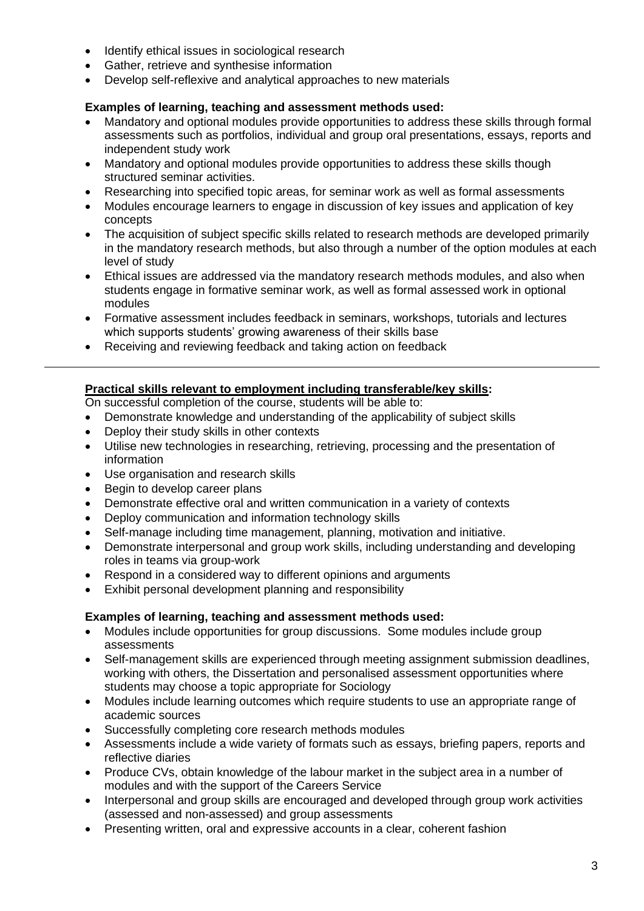- Identify ethical issues in sociological research
- Gather, retrieve and synthesise information
- Develop self-reflexive and analytical approaches to new materials

# **Examples of learning, teaching and assessment methods used:**

- Mandatory and optional modules provide opportunities to address these skills through formal assessments such as portfolios, individual and group oral presentations, essays, reports and independent study work
- Mandatory and optional modules provide opportunities to address these skills though structured seminar activities.
- Researching into specified topic areas, for seminar work as well as formal assessments
- Modules encourage learners to engage in discussion of key issues and application of key concepts
- The acquisition of subject specific skills related to research methods are developed primarily in the mandatory research methods, but also through a number of the option modules at each level of study
- Ethical issues are addressed via the mandatory research methods modules, and also when students engage in formative seminar work, as well as formal assessed work in optional modules
- Formative assessment includes feedback in seminars, workshops, tutorials and lectures which supports students' growing awareness of their skills base
- Receiving and reviewing feedback and taking action on feedback

# **Practical skills relevant to employment including transferable/key skills:**

On successful completion of the course, students will be able to:

- Demonstrate knowledge and understanding of the applicability of subject skills
- Deploy their study skills in other contexts
- Utilise new technologies in researching, retrieving, processing and the presentation of information
- Use organisation and research skills
- Begin to develop career plans
- Demonstrate effective oral and written communication in a variety of contexts
- Deploy communication and information technology skills
- Self-manage including time management, planning, motivation and initiative.
- Demonstrate interpersonal and group work skills, including understanding and developing roles in teams via group-work
- Respond in a considered way to different opinions and arguments
- Exhibit personal development planning and responsibility

### **Examples of learning, teaching and assessment methods used:**

- Modules include opportunities for group discussions. Some modules include group assessments
- Self-management skills are experienced through meeting assignment submission deadlines, working with others, the Dissertation and personalised assessment opportunities where students may choose a topic appropriate for Sociology
- Modules include learning outcomes which require students to use an appropriate range of academic sources
- Successfully completing core research methods modules
- Assessments include a wide variety of formats such as essays, briefing papers, reports and reflective diaries
- Produce CVs, obtain knowledge of the labour market in the subject area in a number of modules and with the support of the Careers Service
- Interpersonal and group skills are encouraged and developed through group work activities (assessed and non-assessed) and group assessments
- Presenting written, oral and expressive accounts in a clear, coherent fashion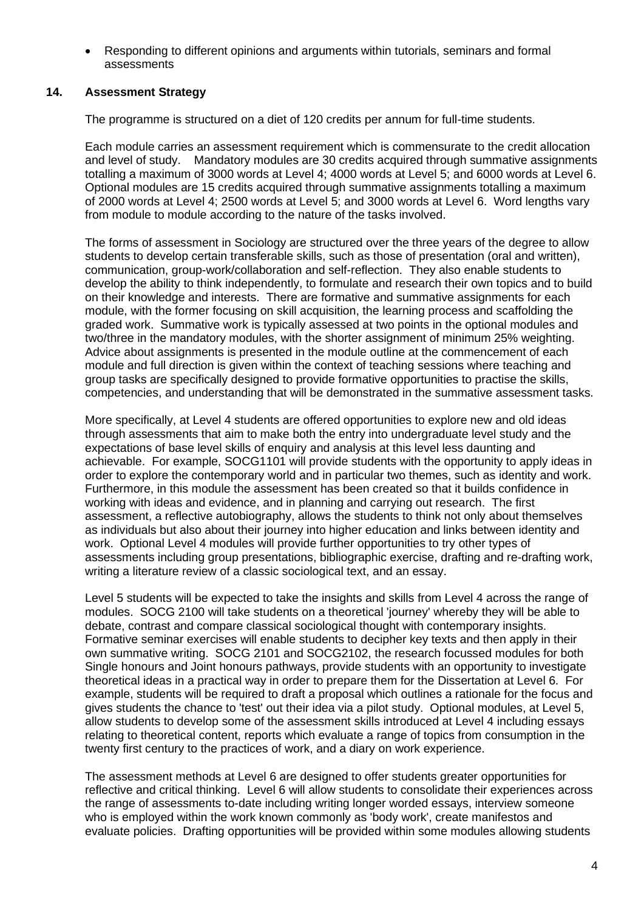• Responding to different opinions and arguments within tutorials, seminars and formal assessments

# **14. Assessment Strategy**

The programme is structured on a diet of 120 credits per annum for full-time students.

Each module carries an assessment requirement which is commensurate to the credit allocation and level of study. Mandatory modules are 30 credits acquired through summative assignments totalling a maximum of 3000 words at Level 4; 4000 words at Level 5; and 6000 words at Level 6. Optional modules are 15 credits acquired through summative assignments totalling a maximum of 2000 words at Level 4; 2500 words at Level 5; and 3000 words at Level 6. Word lengths vary from module to module according to the nature of the tasks involved.

The forms of assessment in Sociology are structured over the three years of the degree to allow students to develop certain transferable skills, such as those of presentation (oral and written), communication, group-work/collaboration and self-reflection. They also enable students to develop the ability to think independently, to formulate and research their own topics and to build on their knowledge and interests. There are formative and summative assignments for each module, with the former focusing on skill acquisition, the learning process and scaffolding the graded work. Summative work is typically assessed at two points in the optional modules and two/three in the mandatory modules, with the shorter assignment of minimum 25% weighting. Advice about assignments is presented in the module outline at the commencement of each module and full direction is given within the context of teaching sessions where teaching and group tasks are specifically designed to provide formative opportunities to practise the skills, competencies, and understanding that will be demonstrated in the summative assessment tasks.

More specifically, at Level 4 students are offered opportunities to explore new and old ideas through assessments that aim to make both the entry into undergraduate level study and the expectations of base level skills of enquiry and analysis at this level less daunting and achievable. For example, SOCG1101 will provide students with the opportunity to apply ideas in order to explore the contemporary world and in particular two themes, such as identity and work. Furthermore, in this module the assessment has been created so that it builds confidence in working with ideas and evidence, and in planning and carrying out research. The first assessment, a reflective autobiography, allows the students to think not only about themselves as individuals but also about their journey into higher education and links between identity and work. Optional Level 4 modules will provide further opportunities to try other types of assessments including group presentations, bibliographic exercise, drafting and re-drafting work, writing a literature review of a classic sociological text, and an essay.

Level 5 students will be expected to take the insights and skills from Level 4 across the range of modules. SOCG 2100 will take students on a theoretical 'journey' whereby they will be able to debate, contrast and compare classical sociological thought with contemporary insights. Formative seminar exercises will enable students to decipher key texts and then apply in their own summative writing. SOCG 2101 and SOCG2102, the research focussed modules for both Single honours and Joint honours pathways, provide students with an opportunity to investigate theoretical ideas in a practical way in order to prepare them for the Dissertation at Level 6. For example, students will be required to draft a proposal which outlines a rationale for the focus and gives students the chance to 'test' out their idea via a pilot study. Optional modules, at Level 5, allow students to develop some of the assessment skills introduced at Level 4 including essays relating to theoretical content, reports which evaluate a range of topics from consumption in the twenty first century to the practices of work, and a diary on work experience.

The assessment methods at Level 6 are designed to offer students greater opportunities for reflective and critical thinking. Level 6 will allow students to consolidate their experiences across the range of assessments to-date including writing longer worded essays, interview someone who is employed within the work known commonly as 'body work', create manifestos and evaluate policies. Drafting opportunities will be provided within some modules allowing students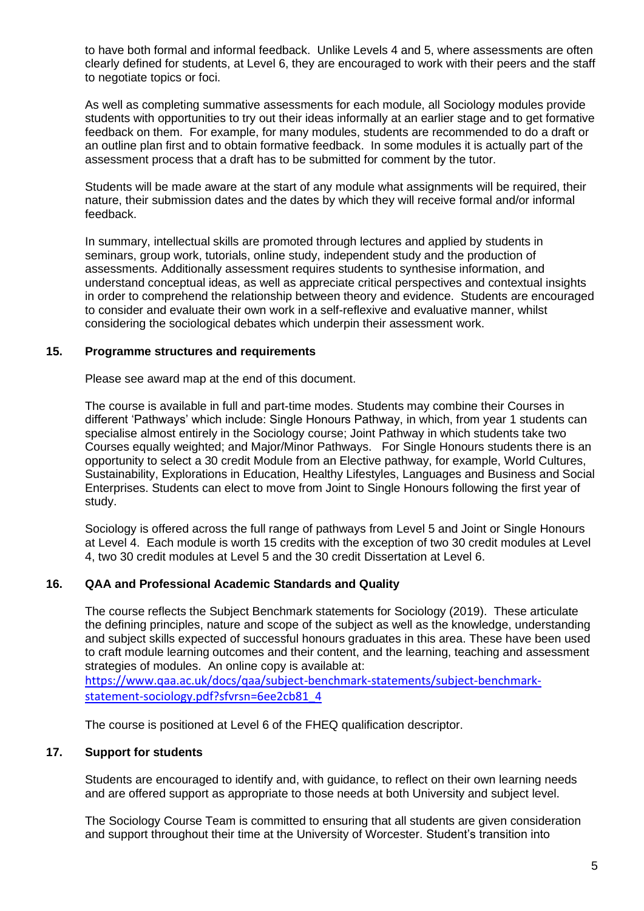to have both formal and informal feedback. Unlike Levels 4 and 5, where assessments are often clearly defined for students, at Level 6, they are encouraged to work with their peers and the staff to negotiate topics or foci.

As well as completing summative assessments for each module, all Sociology modules provide students with opportunities to try out their ideas informally at an earlier stage and to get formative feedback on them. For example, for many modules, students are recommended to do a draft or an outline plan first and to obtain formative feedback. In some modules it is actually part of the assessment process that a draft has to be submitted for comment by the tutor.

Students will be made aware at the start of any module what assignments will be required, their nature, their submission dates and the dates by which they will receive formal and/or informal feedback.

In summary, intellectual skills are promoted through lectures and applied by students in seminars, group work, tutorials, online study, independent study and the production of assessments. Additionally assessment requires students to synthesise information, and understand conceptual ideas, as well as appreciate critical perspectives and contextual insights in order to comprehend the relationship between theory and evidence. Students are encouraged to consider and evaluate their own work in a self-reflexive and evaluative manner, whilst considering the sociological debates which underpin their assessment work.

### **15. Programme structures and requirements**

Please see award map at the end of this document.

The course is available in full and part-time modes. Students may combine their Courses in different 'Pathways' which include: Single Honours Pathway, in which, from year 1 students can specialise almost entirely in the Sociology course; Joint Pathway in which students take two Courses equally weighted; and Major/Minor Pathways. For Single Honours students there is an opportunity to select a 30 credit Module from an Elective pathway, for example, World Cultures, Sustainability, Explorations in Education, Healthy Lifestyles, Languages and Business and Social Enterprises. Students can elect to move from Joint to Single Honours following the first year of study.

Sociology is offered across the full range of pathways from Level 5 and Joint or Single Honours at Level 4. Each module is worth 15 credits with the exception of two 30 credit modules at Level 4, two 30 credit modules at Level 5 and the 30 credit Dissertation at Level 6.

### **16. QAA and Professional Academic Standards and Quality**

The course reflects the Subject Benchmark statements for Sociology (2019). These articulate the defining principles, nature and scope of the subject as well as the knowledge, understanding and subject skills expected of successful honours graduates in this area. These have been used to craft module learning outcomes and their content, and the learning, teaching and assessment strategies of modules. An online copy is available at: [https://www.qaa.ac.uk/docs/qaa/subject-benchmark-statements/subject-benchmark](https://www.qaa.ac.uk/docs/qaa/subject-benchmark-statements/subject-benchmark-statement-sociology.pdf?sfvrsn=6ee2cb81_4)[statement-sociology.pdf?sfvrsn=6ee2cb81\\_4](https://www.qaa.ac.uk/docs/qaa/subject-benchmark-statements/subject-benchmark-statement-sociology.pdf?sfvrsn=6ee2cb81_4)

The course is positioned at Level 6 of the FHEQ qualification descriptor.

# **17. Support for students**

Students are encouraged to identify and, with guidance, to reflect on their own learning needs and are offered support as appropriate to those needs at both University and subject level.

The Sociology Course Team is committed to ensuring that all students are given consideration and support throughout their time at the University of Worcester. Student's transition into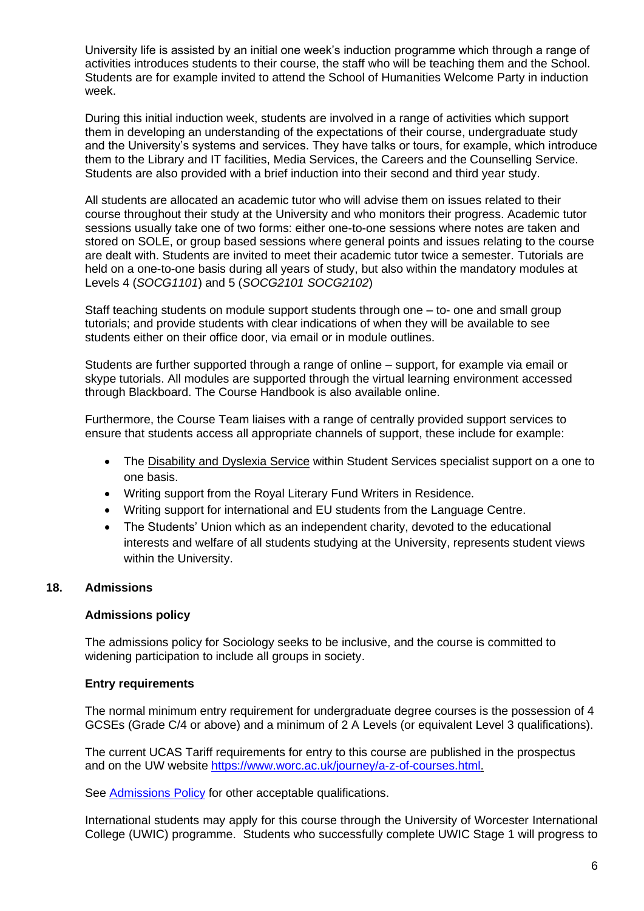University life is assisted by an initial one week's induction programme which through a range of activities introduces students to their course, the staff who will be teaching them and the School. Students are for example invited to attend the School of Humanities Welcome Party in induction week.

During this initial induction week, students are involved in a range of activities which support them in developing an understanding of the expectations of their course, undergraduate study and the University's systems and services. They have talks or tours, for example, which introduce them to the Library and IT facilities, Media Services, the Careers and the Counselling Service. Students are also provided with a brief induction into their second and third year study.

All students are allocated an academic tutor who will advise them on issues related to their course throughout their study at the University and who monitors their progress. Academic tutor sessions usually take one of two forms: either one-to-one sessions where notes are taken and stored on SOLE, or group based sessions where general points and issues relating to the course are dealt with. Students are invited to meet their academic tutor twice a semester. Tutorials are held on a one-to-one basis during all years of study, but also within the mandatory modules at Levels 4 (*SOCG1101*) and 5 (*SOCG2101 SOCG2102*)

Staff teaching students on module support students through one – to- one and small group tutorials; and provide students with clear indications of when they will be available to see students either on their office door, via email or in module outlines.

Students are further supported through a range of online – support, for example via email or skype tutorials. All modules are supported through the virtual learning environment accessed through Blackboard. The Course Handbook is also available online.

Furthermore, the Course Team liaises with a range of centrally provided support services to ensure that students access all appropriate channels of support, these include for example:

- The [Disability and Dyslexia Service](http://www.worcester.ac.uk/student-services/disability-and-dyslexia.htm) within Student Services specialist support on a one to one basis.
- Writing support from the Royal Literary Fund Writers in Residence.
- Writing support for international and EU students from the Language Centre.
- The Students' Union which as an independent charity, devoted to the educational interests and welfare of all students studying at the University, represents student views within the University.

# **18. Admissions**

### **Admissions policy**

The admissions policy for Sociology seeks to be inclusive, and the course is committed to widening participation to include all groups in society.

### **Entry requirements**

The normal minimum entry requirement for undergraduate degree courses is the possession of 4 GCSEs (Grade C/4 or above) and a minimum of 2 A Levels (or equivalent Level 3 qualifications).

The current UCAS Tariff requirements for entry to this course are published in the prospectus and on the UW website [https://www.worc.ac.uk/journey/a-z-of-courses.html.](https://www.worc.ac.uk/journey/a-z-of-courses.html)

See [Admissions Policy](http://www.worcester.ac.uk/registryservices/documents/AdmissionsPolicy.pdf) for other acceptable qualifications.

International students may apply for this course through the University of Worcester International College (UWIC) programme. Students who successfully complete UWIC Stage 1 will progress to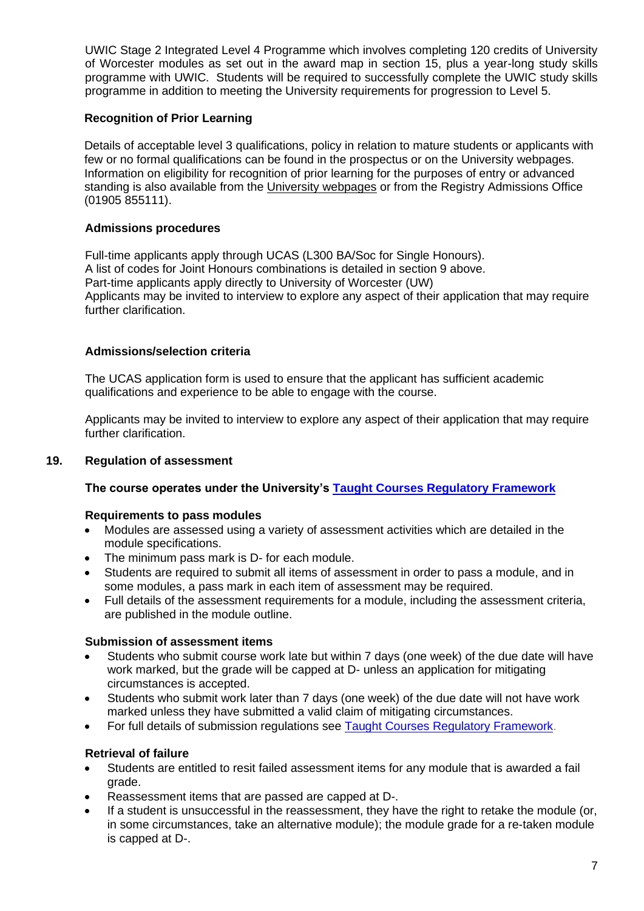UWIC Stage 2 Integrated Level 4 Programme which involves completing 120 credits of University of Worcester modules as set out in the award map in section 15, plus a year-long study skills programme with UWIC. Students will be required to successfully complete the UWIC study skills programme in addition to meeting the University requirements for progression to Level 5.

# **Recognition of Prior Learning**

Details of acceptable level 3 qualifications, policy in relation to mature students or applicants with few or no formal qualifications can be found in the prospectus or on the University webpages. Information on eligibility for recognition of prior learning for the purposes of entry or advanced standing is also available from the [University webpages](http://www.worcester.ac.uk/registryservices/941.htm) or from the Registry Admissions Office (01905 855111).

# **Admissions procedures**

Full-time applicants apply through UCAS (L300 BA/Soc for Single Honours). A list of codes for Joint Honours combinations is detailed in section 9 above. Part-time applicants apply directly to University of Worcester (UW) Applicants may be invited to interview to explore any aspect of their application that may require further clarification.

# **Admissions/selection criteria**

The UCAS application form is used to ensure that the applicant has sufficient academic qualifications and experience to be able to engage with the course.

Applicants may be invited to interview to explore any aspect of their application that may require further clarification.

## **19. Regulation of assessment**

### **The course operates under the University's [Taught Courses Regulatory Framework](http://www.worcester.ac.uk/registryservices/documents/TaughtCoursesRegulatoryFramework.pdf)**

### **Requirements to pass modules**

- Modules are assessed using a variety of assessment activities which are detailed in the module specifications.
- The minimum pass mark is D- for each module.
- Students are required to submit all items of assessment in order to pass a module, and in some modules, a pass mark in each item of assessment may be required.
- Full details of the assessment requirements for a module, including the assessment criteria, are published in the module outline.

### **Submission of assessment items**

- Students who submit course work late but within 7 days (one week) of the due date will have work marked, but the grade will be capped at D- unless an application for mitigating circumstances is accepted.
- Students who submit work later than 7 days (one week) of the due date will not have work marked unless they have submitted a valid claim of mitigating circumstances.
- For full details of submission regulations see [Taught Courses Regulatory Framework.](http://www.worcester.ac.uk/registryservices/documents/TaughtCoursesRegulatoryFramework.pdf)

# **Retrieval of failure**

- Students are entitled to resit failed assessment items for any module that is awarded a fail grade.
- Reassessment items that are passed are capped at D-.
- If a student is unsuccessful in the reassessment, they have the right to retake the module (or, in some circumstances, take an alternative module); the module grade for a re-taken module is capped at D-.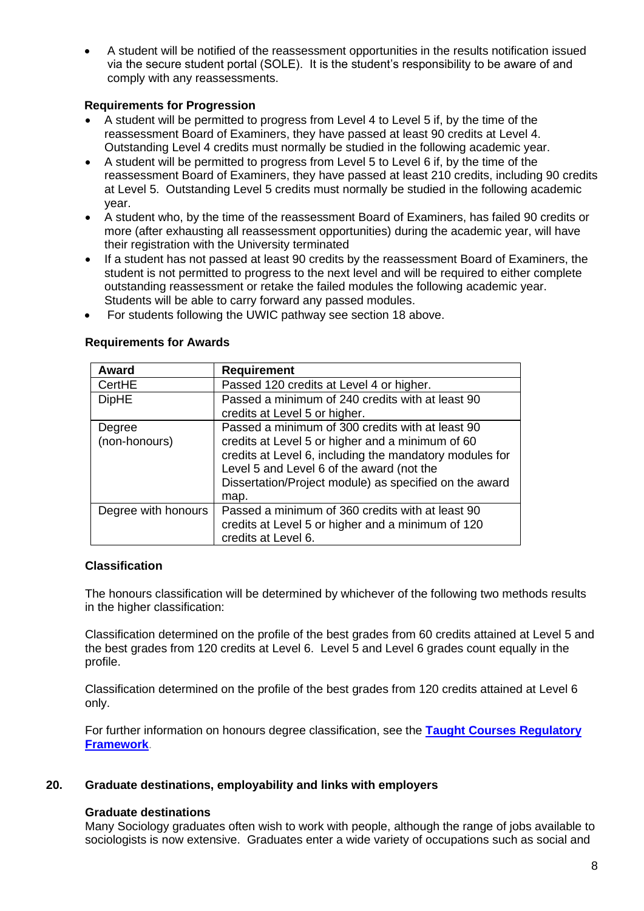• A student will be notified of the reassessment opportunities in the results notification issued via the secure student portal (SOLE). It is the student's responsibility to be aware of and comply with any reassessments.

# **Requirements for Progression**

- A student will be permitted to progress from Level 4 to Level 5 if, by the time of the reassessment Board of Examiners, they have passed at least 90 credits at Level 4. Outstanding Level 4 credits must normally be studied in the following academic year.
- A student will be permitted to progress from Level 5 to Level 6 if, by the time of the reassessment Board of Examiners, they have passed at least 210 credits, including 90 credits at Level 5. Outstanding Level 5 credits must normally be studied in the following academic year.
- A student who, by the time of the reassessment Board of Examiners, has failed 90 credits or more (after exhausting all reassessment opportunities) during the academic year, will have their registration with the University terminated
- If a student has not passed at least 90 credits by the reassessment Board of Examiners, the student is not permitted to progress to the next level and will be required to either complete outstanding reassessment or retake the failed modules the following academic year. Students will be able to carry forward any passed modules.
- For students following the UWIC pathway see section 18 above.

| <b>Award</b>            | <b>Requirement</b>                                                                                                                                                                                                                                                             |  |  |  |  |
|-------------------------|--------------------------------------------------------------------------------------------------------------------------------------------------------------------------------------------------------------------------------------------------------------------------------|--|--|--|--|
| CertHE                  | Passed 120 credits at Level 4 or higher.                                                                                                                                                                                                                                       |  |  |  |  |
| <b>DipHE</b>            | Passed a minimum of 240 credits with at least 90<br>credits at Level 5 or higher.                                                                                                                                                                                              |  |  |  |  |
| Degree<br>(non-honours) | Passed a minimum of 300 credits with at least 90<br>credits at Level 5 or higher and a minimum of 60<br>credits at Level 6, including the mandatory modules for<br>Level 5 and Level 6 of the award (not the<br>Dissertation/Project module) as specified on the award<br>map. |  |  |  |  |
| Degree with honours     | Passed a minimum of 360 credits with at least 90<br>credits at Level 5 or higher and a minimum of 120<br>credits at Level 6.                                                                                                                                                   |  |  |  |  |

# **Requirements for Awards**

## **Classification**

The honours classification will be determined by whichever of the following two methods results in the higher classification:

Classification determined on the profile of the best grades from 60 credits attained at Level 5 and the best grades from 120 credits at Level 6. Level 5 and Level 6 grades count equally in the profile.

Classification determined on the profile of the best grades from 120 credits attained at Level 6 only.

For further information on honours degree classification, see the **[Taught Courses Regulatory](http://www.worcester.ac.uk/registryservices/documents/TaughtCoursesRegulatoryFramework.pdf)  [Framework](http://www.worcester.ac.uk/registryservices/documents/TaughtCoursesRegulatoryFramework.pdf)**.

### **20. Graduate destinations, employability and links with employers**

### **Graduate destinations**

Many Sociology graduates often wish to work with people, although the range of jobs available to sociologists is now extensive. Graduates enter a wide variety of occupations such as social and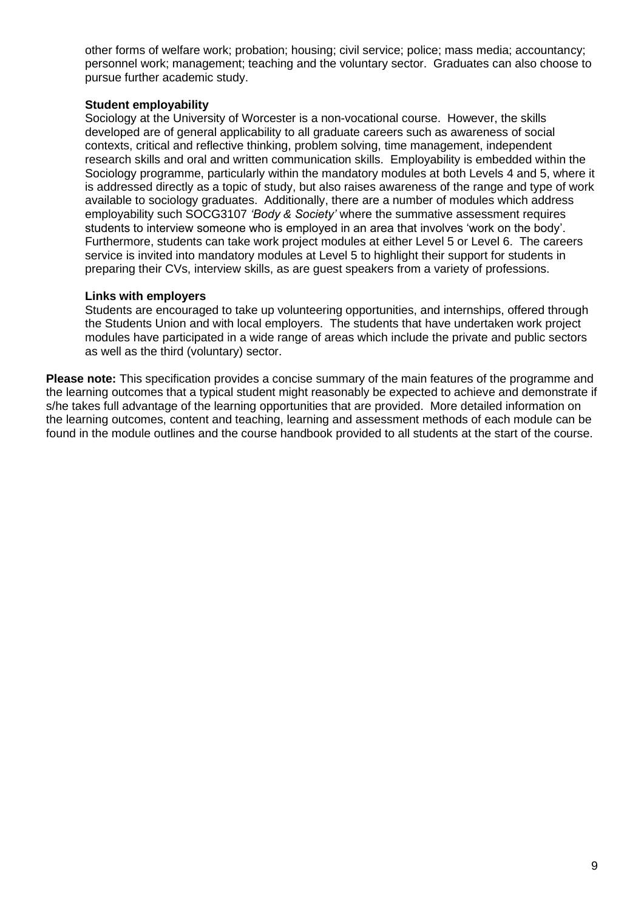other forms of welfare work; probation; housing; civil service; police; mass media; accountancy; personnel work; management; teaching and the voluntary sector. Graduates can also choose to pursue further academic study.

## **Student employability**

Sociology at the University of Worcester is a non-vocational course. However, the skills developed are of general applicability to all graduate careers such as awareness of social contexts, critical and reflective thinking, problem solving, time management, independent research skills and oral and written communication skills. Employability is embedded within the Sociology programme, particularly within the mandatory modules at both Levels 4 and 5, where it is addressed directly as a topic of study, but also raises awareness of the range and type of work available to sociology graduates. Additionally, there are a number of modules which address employability such SOCG3107 *'Body & Society'* where the summative assessment requires students to interview someone who is employed in an area that involves 'work on the body'. Furthermore, students can take work project modules at either Level 5 or Level 6. The careers service is invited into mandatory modules at Level 5 to highlight their support for students in preparing their CVs, interview skills, as are guest speakers from a variety of professions.

# **Links with employers**

Students are encouraged to take up volunteering opportunities, and internships, offered through the Students Union and with local employers. The students that have undertaken work project modules have participated in a wide range of areas which include the private and public sectors as well as the third (voluntary) sector.

**Please note:** This specification provides a concise summary of the main features of the programme and the learning outcomes that a typical student might reasonably be expected to achieve and demonstrate if s/he takes full advantage of the learning opportunities that are provided. More detailed information on the learning outcomes, content and teaching, learning and assessment methods of each module can be found in the module outlines and the course handbook provided to all students at the start of the course.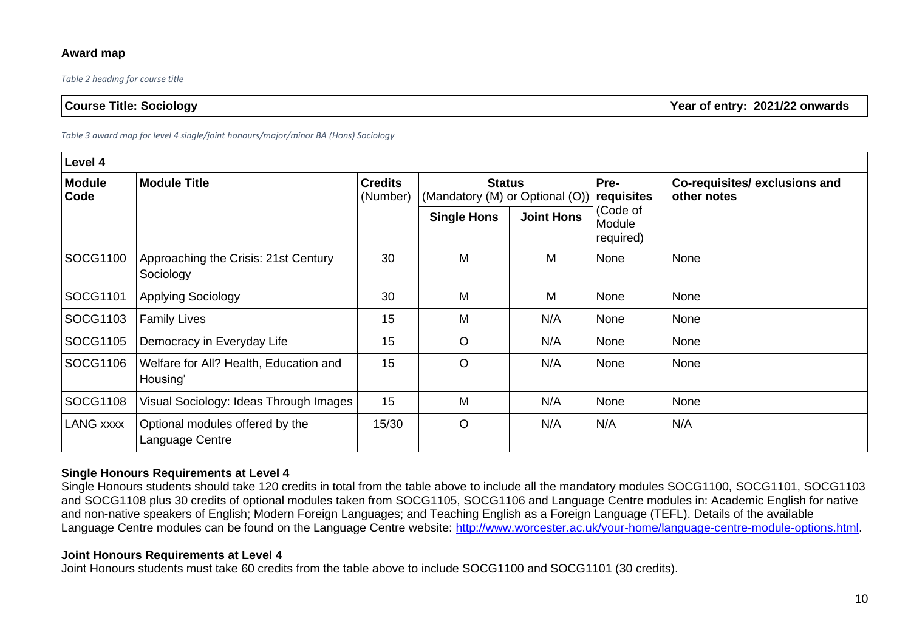# **Award map**

*Table 2 heading for course title*

| <b>Year of entry: 2021/22 onwards</b><br><b>Course Title: Sociology</b> |
|-------------------------------------------------------------------------|
|-------------------------------------------------------------------------|

*Table 3 award map for level 4 single/joint honours/major/minor BA (Hons) Sociology*

| Level 4          |                                                    |                            |                                                  |                   |                                 |                                             |  |  |  |
|------------------|----------------------------------------------------|----------------------------|--------------------------------------------------|-------------------|---------------------------------|---------------------------------------------|--|--|--|
| Module<br>Code   | <b>Module Title</b>                                | <b>Credits</b><br>(Number) | <b>Status</b><br>(Mandatory (M) or Optional (O)) |                   | Pre-<br>requisites              | Co-requisites/exclusions and<br>other notes |  |  |  |
|                  |                                                    |                            | <b>Single Hons</b>                               | <b>Joint Hons</b> | (Code of<br>Module<br>required) |                                             |  |  |  |
| SOCG1100         | Approaching the Crisis: 21st Century<br>Sociology  | 30                         | M                                                | M                 | None                            | None                                        |  |  |  |
| SOCG1101         | <b>Applying Sociology</b>                          | 30                         | M                                                | M                 | None                            | None                                        |  |  |  |
| SOCG1103         | <b>Family Lives</b>                                | 15                         | M                                                | N/A               | None                            | None                                        |  |  |  |
| SOCG1105         | Democracy in Everyday Life                         | 15                         | $\circ$                                          | N/A               | None                            | None                                        |  |  |  |
| SOCG1106         | Welfare for All? Health, Education and<br>Housing' | 15                         | $\circ$                                          | N/A               | None                            | None                                        |  |  |  |
| SOCG1108         | Visual Sociology: Ideas Through Images             | 15                         | M                                                | N/A               | None                            | None                                        |  |  |  |
| <b>LANG xxxx</b> | Optional modules offered by the<br>Language Centre | 15/30                      | $\circ$                                          | N/A               | N/A                             | N/A                                         |  |  |  |

# **Single Honours Requirements at Level 4**

Single Honours students should take 120 credits in total from the table above to include all the mandatory modules SOCG1100, SOCG1101, SOCG1103 and SOCG1108 plus 30 credits of optional modules taken from SOCG1105, SOCG1106 and Language Centre modules in: Academic English for native and non-native speakers of English; Modern Foreign Languages; and Teaching English as a Foreign Language (TEFL). Details of the available Language Centre modules can be found on the Language Centre website: [http://www.worcester.ac.uk/your-home/language-centre-module-options.html.](http://www.worcester.ac.uk/your-home/language-centre-module-options.html)

## **Joint Honours Requirements at Level 4**

Joint Honours students must take 60 credits from the table above to include SOCG1100 and SOCG1101 (30 credits).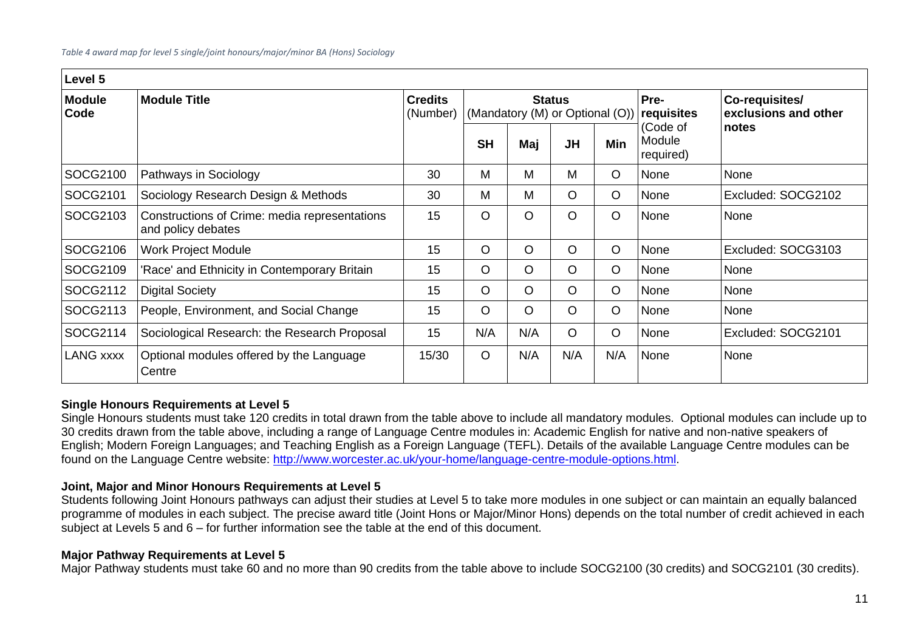| Level 5               |                                                                     |                            |                                                  |         |           |            |                                 |                                        |
|-----------------------|---------------------------------------------------------------------|----------------------------|--------------------------------------------------|---------|-----------|------------|---------------------------------|----------------------------------------|
| <b>Module</b><br>Code | <b>Module Title</b>                                                 | <b>Credits</b><br>(Number) | <b>Status</b><br>(Mandatory (M) or Optional (O)) |         |           |            | Pre-<br>requisites              | Co-requisites/<br>exclusions and other |
|                       |                                                                     |                            | <b>SH</b>                                        | Maj     | <b>JH</b> | <b>Min</b> | (Code of<br>Module<br>required) | notes                                  |
| SOCG2100              | Pathways in Sociology                                               | 30                         | M                                                | M       | M         | O          | None                            | None                                   |
| SOCG2101              | Sociology Research Design & Methods                                 | 30                         | M                                                | M       | $\circ$   | O          | None                            | Excluded: SOCG2102                     |
| SOCG2103              | Constructions of Crime: media representations<br>and policy debates | 15                         | $\circ$                                          | $\circ$ | $\circ$   | $\circ$    | None                            | None                                   |
| SOCG2106              | <b>Work Project Module</b>                                          | 15                         | $\circ$                                          | $\circ$ | $\circ$   | $\circ$    | None                            | Excluded: SOCG3103                     |
| SOCG2109              | 'Race' and Ethnicity in Contemporary Britain                        | 15                         | $\circ$                                          | $\circ$ | $\circ$   | $\circ$    | None                            | None                                   |
| SOCG2112              | <b>Digital Society</b>                                              | 15                         | $\circ$                                          | $\circ$ | $\circ$   | $\circ$    | None                            | None                                   |
| SOCG2113              | People, Environment, and Social Change                              | 15                         | $\circ$                                          | $\circ$ | $\circ$   | $\circ$    | None                            | None                                   |
| SOCG2114              | Sociological Research: the Research Proposal                        | 15                         | N/A                                              | N/A     | $\circ$   | O          | None                            | Excluded: SOCG2101                     |
| <b>LANG xxxx</b>      | Optional modules offered by the Language<br>Centre                  | 15/30                      | $\circ$                                          | N/A     | N/A       | N/A        | None                            | None                                   |

## **Single Honours Requirements at Level 5**

Single Honours students must take 120 credits in total drawn from the table above to include all mandatory modules. Optional modules can include up to 30 credits drawn from the table above, including a range of Language Centre modules in: Academic English for native and non-native speakers of English; Modern Foreign Languages; and Teaching English as a Foreign Language (TEFL). Details of the available Language Centre modules can be found on the Language Centre website: [http://www.worcester.ac.uk/your-home/language-centre-module-options.html.](http://www.worcester.ac.uk/your-home/language-centre-module-options.html)

## **Joint, Major and Minor Honours Requirements at Level 5**

Students following Joint Honours pathways can adjust their studies at Level 5 to take more modules in one subject or can maintain an equally balanced programme of modules in each subject. The precise award title (Joint Hons or Major/Minor Hons) depends on the total number of credit achieved in each subject at Levels 5 and 6 – for further information see the table at the end of this document.

## **Major Pathway Requirements at Level 5**

Major Pathway students must take 60 and no more than 90 credits from the table above to include SOCG2100 (30 credits) and SOCG2101 (30 credits).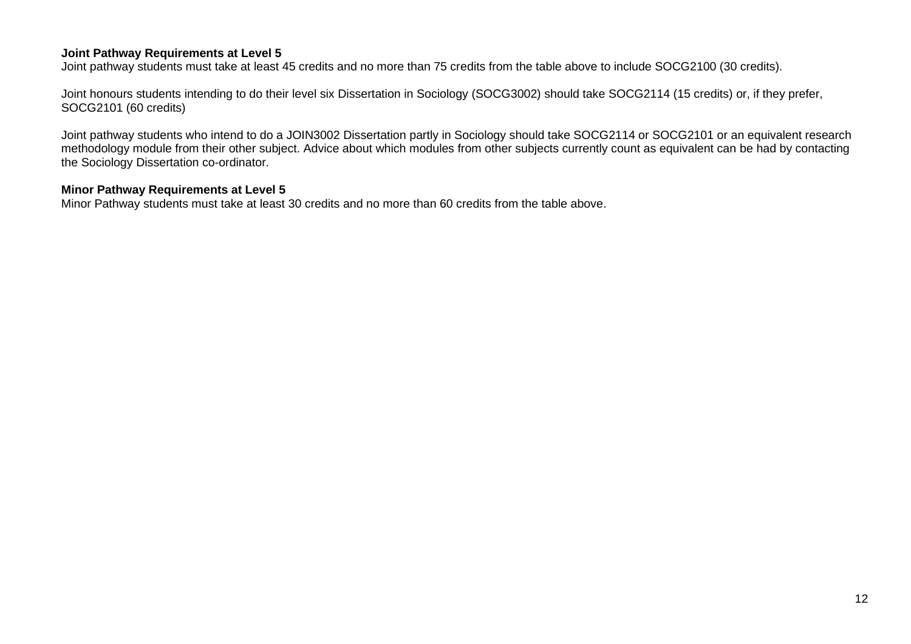### **Joint Pathway Requirements at Level 5**

Joint pathway students must take at least 45 credits and no more than 75 credits from the table above to include SOCG2100 (30 credits).

Joint honours students intending to do their level six Dissertation in Sociology (SOCG3002) should take SOCG2114 (15 credits) or, if they prefer, SOCG2101 (60 credits)

Joint pathway students who intend to do a JOIN3002 Dissertation partly in Sociology should take SOCG2114 or SOCG2101 or an equivalent research methodology module from their other subject. Advice about which modules from other subjects currently count as equivalent can be had by contacting the Sociology Dissertation co-ordinator.

## **Minor Pathway Requirements at Level 5**

Minor Pathway students must take at least 30 credits and no more than 60 credits from the table above.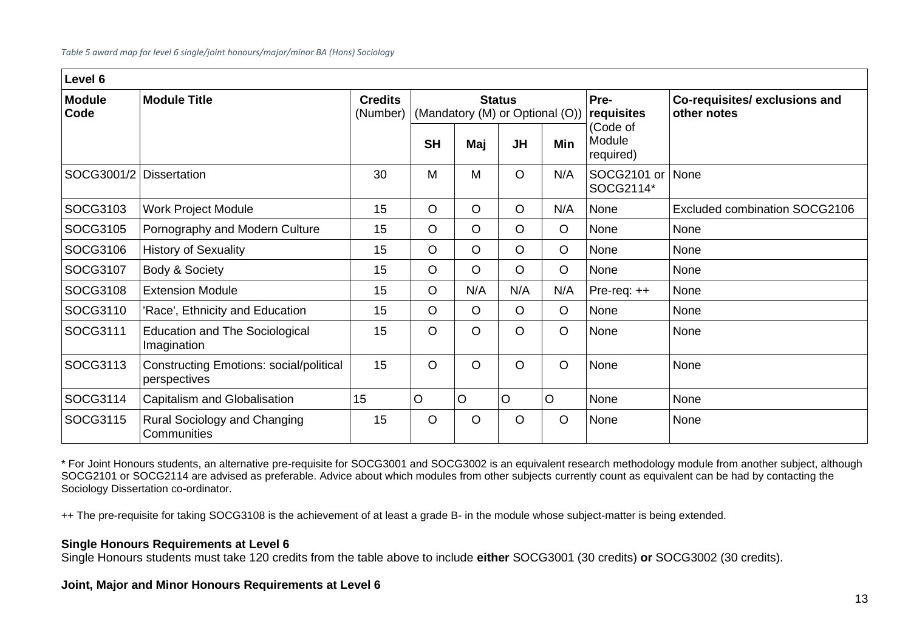| Level 6                 |                                                                |                            |                                                  |         |           |            |                                 |                                             |
|-------------------------|----------------------------------------------------------------|----------------------------|--------------------------------------------------|---------|-----------|------------|---------------------------------|---------------------------------------------|
| <b>Module</b><br>Code   | <b>Module Title</b>                                            | <b>Credits</b><br>(Number) | <b>Status</b><br>(Mandatory (M) or Optional (O)) |         |           |            | Pre-<br>requisites              | Co-requisites/exclusions and<br>other notes |
|                         |                                                                |                            | <b>SH</b>                                        | Maj     | <b>JH</b> | <b>Min</b> | (Code of<br>Module<br>required) |                                             |
| SOCG3001/2 Dissertation |                                                                | 30                         | M                                                | M       | $\circ$   | N/A        | SOCG2101 or<br>SOCG2114*        | None                                        |
| SOCG3103                | <b>Work Project Module</b>                                     | 15                         | $\circ$                                          | $\circ$ | $\circ$   | N/A        | None                            | Excluded combination SOCG2106               |
| SOCG3105                | Pornography and Modern Culture                                 | 15                         | $\circ$                                          | $\circ$ | $\circ$   | $\circ$    | None                            | None                                        |
| SOCG3106                | <b>History of Sexuality</b>                                    | 15                         | $\circ$                                          | $\circ$ | $\circ$   | $\circ$    | None                            | None                                        |
| SOCG3107                | Body & Society                                                 | 15                         | $\circ$                                          | $\circ$ | $\circ$   | $\circ$    | None                            | None                                        |
| SOCG3108                | <b>Extension Module</b>                                        | 15                         | $\circ$                                          | N/A     | N/A       | N/A        | Pre-req: ++                     | None                                        |
| SOCG3110                | 'Race', Ethnicity and Education                                | 15                         | $\circ$                                          | $\circ$ | $\circ$   | $\circ$    | None                            | None                                        |
| SOCG3111                | <b>Education and The Sociological</b><br>Imagination           | 15                         | $\circ$                                          | O       | $\circ$   | $\circ$    | None                            | None                                        |
| SOCG3113                | <b>Constructing Emotions: social/political</b><br>perspectives | 15                         | $\circ$                                          | O       | $\circ$   | $\circ$    | None                            | None                                        |
| SOCG3114                | Capitalism and Globalisation                                   | 15                         | O                                                | O       | $\circ$   | O          | None                            | None                                        |
| SOCG3115                | Rural Sociology and Changing<br>Communities                    | 15                         | $\circ$                                          | $\circ$ | $\circ$   | $\circ$    | None                            | None                                        |

\* For Joint Honours students, an alternative pre-requisite for SOCG3001 and SOCG3002 is an equivalent research methodology module from another subject, although SOCG2101 or SOCG2114 are advised as preferable. Advice about which modules from other subjects currently count as equivalent can be had by contacting the Sociology Dissertation co-ordinator.

++ The pre-requisite for taking SOCG3108 is the achievement of at least a grade B- in the module whose subject-matter is being extended.

## **Single Honours Requirements at Level 6**

Single Honours students must take 120 credits from the table above to include **either** SOCG3001 (30 credits) **or** SOCG3002 (30 credits).

## **Joint, Major and Minor Honours Requirements at Level 6**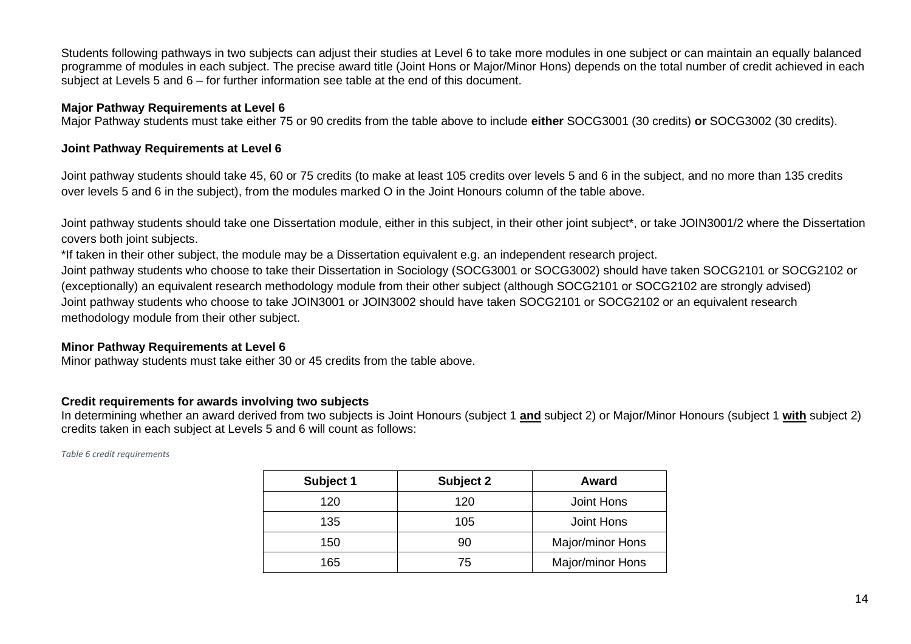Students following pathways in two subjects can adjust their studies at Level 6 to take more modules in one subject or can maintain an equally balanced programme of modules in each subject. The precise award title (Joint Hons or Major/Minor Hons) depends on the total number of credit achieved in each subject at Levels 5 and 6 – for further information see table at the end of this document.

#### **Major Pathway Requirements at Level 6**

Major Pathway students must take either 75 or 90 credits from the table above to include **either** SOCG3001 (30 credits) **or** SOCG3002 (30 credits).

### **Joint Pathway Requirements at Level 6**

Joint pathway students should take 45, 60 or 75 credits (to make at least 105 credits over levels 5 and 6 in the subject, and no more than 135 credits over levels 5 and 6 in the subject), from the modules marked O in the Joint Honours column of the table above.

Joint pathway students should take one Dissertation module, either in this subject, in their other joint subject\*, or take JOIN3001/2 where the Dissertation covers both joint subjects.

\*If taken in their other subject, the module may be a Dissertation equivalent e.g. an independent research project.

Joint pathway students who choose to take their Dissertation in Sociology (SOCG3001 or SOCG3002) should have taken SOCG2101 or SOCG2102 or (exceptionally) an equivalent research methodology module from their other subject (although SOCG2101 or SOCG2102 are strongly advised) Joint pathway students who choose to take JOIN3001 or JOIN3002 should have taken SOCG2101 or SOCG2102 or an equivalent research methodology module from their other subject.

## **Minor Pathway Requirements at Level 6**

Minor pathway students must take either 30 or 45 credits from the table above.

## **Credit requirements for awards involving two subjects**

In determining whether an award derived from two subjects is Joint Honours (subject 1 **and** subject 2) or Major/Minor Honours (subject 1 **with** subject 2) credits taken in each subject at Levels 5 and 6 will count as follows:

*Table 6 credit requirements* 

| Subject 1 | Subject 2 | Award            |
|-----------|-----------|------------------|
| 120       | 120       | Joint Hons       |
| 135       | 105       | Joint Hons       |
| 150       | 90        | Major/minor Hons |
| 165       | 75        | Major/minor Hons |